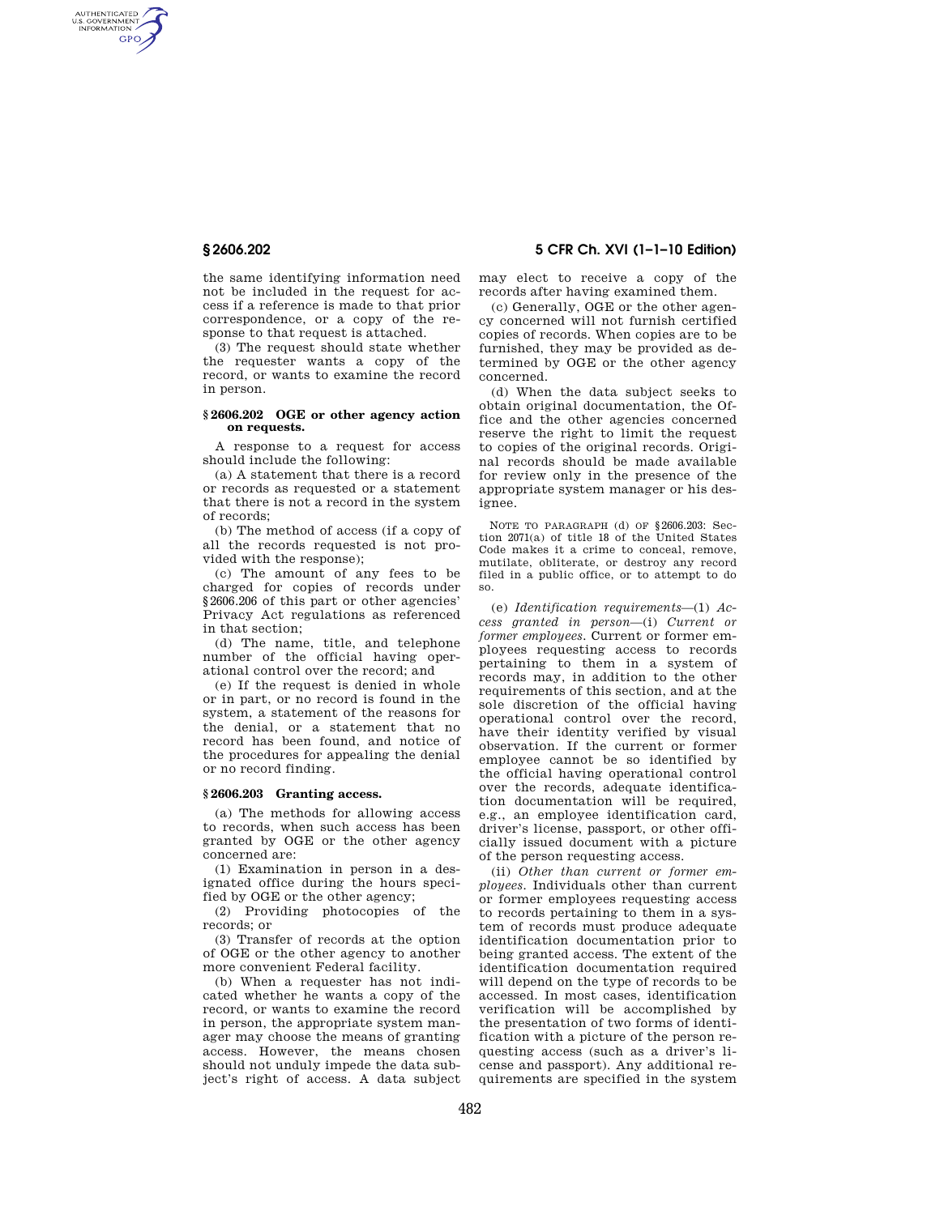AUTHENTICATED<br>U.S. GOVERNMENT<br>INFORMATION GPO

> the same identifying information need not be included in the request for access if a reference is made to that prior correspondence, or a copy of the response to that request is attached.

> (3) The request should state whether the requester wants a copy of the record, or wants to examine the record in person.

## **§ 2606.202 OGE or other agency action on requests.**

A response to a request for access should include the following:

(a) A statement that there is a record or records as requested or a statement that there is not a record in the system of records;

(b) The method of access (if a copy of all the records requested is not provided with the response);

(c) The amount of any fees to be charged for copies of records under §2606.206 of this part or other agencies' Privacy Act regulations as referenced in that section;

(d) The name, title, and telephone number of the official having operational control over the record; and

(e) If the request is denied in whole or in part, or no record is found in the system, a statement of the reasons for the denial, or a statement that no record has been found, and notice of the procedures for appealing the denial or no record finding.

### **§ 2606.203 Granting access.**

(a) The methods for allowing access to records, when such access has been granted by OGE or the other agency concerned are:

(1) Examination in person in a designated office during the hours specified by OGE or the other agency;

(2) Providing photocopies of the records; or

(3) Transfer of records at the option of OGE or the other agency to another more convenient Federal facility.

(b) When a requester has not indicated whether he wants a copy of the record, or wants to examine the record in person, the appropriate system manager may choose the means of granting access. However, the means chosen should not unduly impede the data subject's right of access. A data subject

# **§ 2606.202 5 CFR Ch. XVI (1–1–10 Edition)**

may elect to receive a copy of the records after having examined them.

(c) Generally, OGE or the other agency concerned will not furnish certified copies of records. When copies are to be furnished, they may be provided as determined by OGE or the other agency concerned.

(d) When the data subject seeks to obtain original documentation, the Office and the other agencies concerned reserve the right to limit the request to copies of the original records. Original records should be made available for review only in the presence of the appropriate system manager or his designee.

NOTE TO PARAGRAPH (d) OF §2606.203: Section 2071(a) of title 18 of the United States Code makes it a crime to conceal, remove, mutilate, obliterate, or destroy any record filed in a public office, or to attempt to do so.

(e) *Identification requirements*—(1) *Access granted in person*—(i) *Current or former employees.* Current or former employees requesting access to records pertaining to them in a system of records may, in addition to the other requirements of this section, and at the sole discretion of the official having operational control over the record, have their identity verified by visual observation. If the current or former employee cannot be so identified by the official having operational control over the records, adequate identification documentation will be required, e.g., an employee identification card, driver's license, passport, or other officially issued document with a picture of the person requesting access.

(ii) *Other than current or former employees.* Individuals other than current or former employees requesting access to records pertaining to them in a system of records must produce adequate identification documentation prior to being granted access. The extent of the identification documentation required will depend on the type of records to be accessed. In most cases, identification verification will be accomplished by the presentation of two forms of identification with a picture of the person requesting access (such as a driver's license and passport). Any additional requirements are specified in the system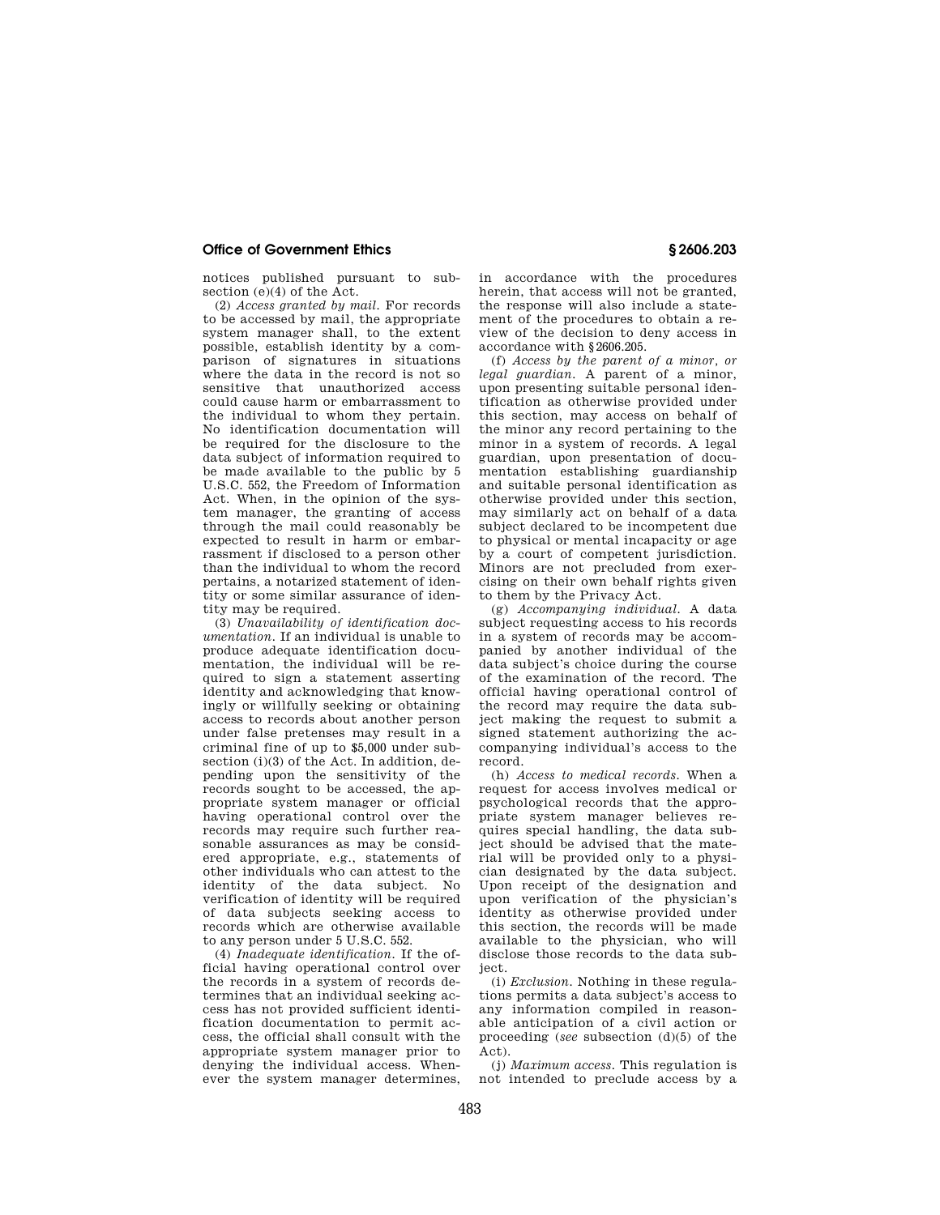### **Office of Government Ethics § 2606.203**

notices published pursuant to subsection (e)(4) of the Act.

(2) *Access granted by mail.* For records to be accessed by mail, the appropriate system manager shall, to the extent possible, establish identity by a comparison of signatures in situations where the data in the record is not so sensitive that unauthorized access could cause harm or embarrassment to the individual to whom they pertain. No identification documentation will be required for the disclosure to the data subject of information required to be made available to the public by 5 U.S.C. 552, the Freedom of Information Act. When, in the opinion of the system manager, the granting of access through the mail could reasonably be expected to result in harm or embarrassment if disclosed to a person other than the individual to whom the record pertains, a notarized statement of identity or some similar assurance of identity may be required.

(3) *Unavailability of identification documentation.* If an individual is unable to produce adequate identification documentation, the individual will be required to sign a statement asserting identity and acknowledging that knowingly or willfully seeking or obtaining access to records about another person under false pretenses may result in a criminal fine of up to \$5,000 under subsection (i)(3) of the Act. In addition, depending upon the sensitivity of the records sought to be accessed, the appropriate system manager or official having operational control over the records may require such further reasonable assurances as may be considered appropriate, e.g., statements of other individuals who can attest to the identity of the data subject. No verification of identity will be required of data subjects seeking access to records which are otherwise available to any person under 5 U.S.C. 552.

(4) *Inadequate identification.* If the official having operational control over the records in a system of records determines that an individual seeking access has not provided sufficient identification documentation to permit access, the official shall consult with the appropriate system manager prior to denying the individual access. Whenever the system manager determines,

in accordance with the procedures herein, that access will not be granted, the response will also include a statement of the procedures to obtain a review of the decision to deny access in accordance with §2606.205.

(f) *Access by the parent of a minor, or legal guardian.* A parent of a minor, upon presenting suitable personal identification as otherwise provided under this section, may access on behalf of the minor any record pertaining to the minor in a system of records. A legal guardian, upon presentation of documentation establishing guardianship and suitable personal identification as otherwise provided under this section, may similarly act on behalf of a data subject declared to be incompetent due to physical or mental incapacity or age by a court of competent jurisdiction. Minors are not precluded from exercising on their own behalf rights given to them by the Privacy Act.

(g) *Accompanying individual.* A data subject requesting access to his records in a system of records may be accompanied by another individual of the data subject's choice during the course of the examination of the record. The official having operational control of the record may require the data subject making the request to submit a signed statement authorizing the accompanying individual's access to the record.

(h) *Access to medical records.* When a request for access involves medical or psychological records that the appropriate system manager believes requires special handling, the data subject should be advised that the material will be provided only to a physician designated by the data subject. Upon receipt of the designation and upon verification of the physician's identity as otherwise provided under this section, the records will be made available to the physician, who will disclose those records to the data subject.

(i) *Exclusion.* Nothing in these regulations permits a data subject's access to any information compiled in reasonable anticipation of a civil action or proceeding (*see* subsection (d)(5) of the Act).

(j) *Maximum access.* This regulation is not intended to preclude access by a